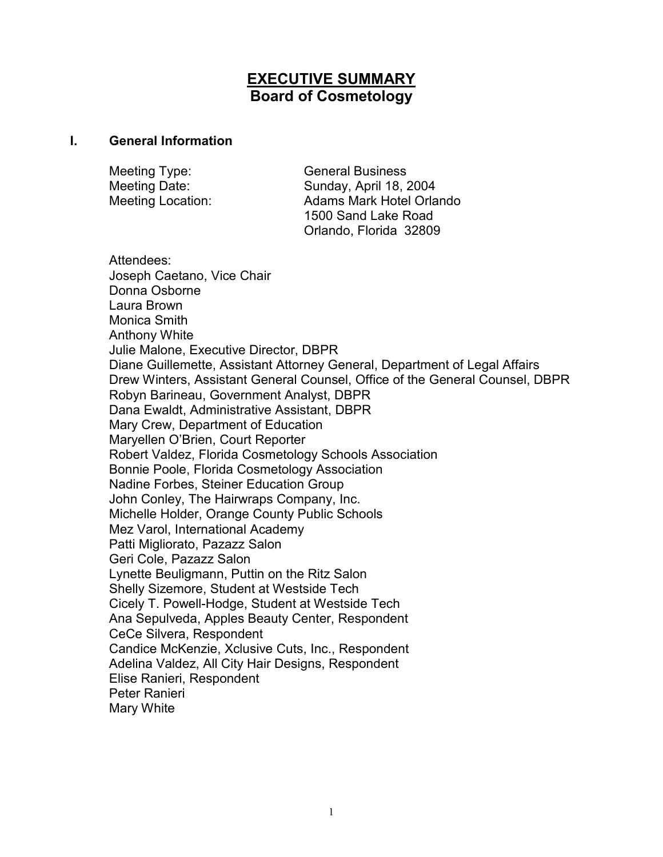# **EXECUTIVE SUMMARY Board of Cosmetology**

#### **I. General Information**

Meeting Type: General Business Meeting Date: Sunday, April 18, 2004 Meeting Location: **Adams Mark Hotel Orlando** 1500 Sand Lake Road Orlando, Florida 32809

Attendees: Joseph Caetano, Vice Chair Donna Osborne Laura Brown Monica Smith Anthony White Julie Malone, Executive Director, DBPR Diane Guillemette, Assistant Attorney General, Department of Legal Affairs Drew Winters, Assistant General Counsel, Office of the General Counsel, DBPR Robyn Barineau, Government Analyst, DBPR Dana Ewaldt, Administrative Assistant, DBPR Mary Crew, Department of Education Maryellen O'Brien, Court Reporter Robert Valdez, Florida Cosmetology Schools Association Bonnie Poole, Florida Cosmetology Association Nadine Forbes, Steiner Education Group John Conley, The Hairwraps Company, Inc. Michelle Holder, Orange County Public Schools Mez Varol, International Academy Patti Migliorato, Pazazz Salon Geri Cole, Pazazz Salon Lynette Beuligmann, Puttin on the Ritz Salon Shelly Sizemore, Student at Westside Tech Cicely T. Powell-Hodge, Student at Westside Tech Ana Sepulveda, Apples Beauty Center, Respondent CeCe Silvera, Respondent Candice McKenzie, Xclusive Cuts, Inc., Respondent Adelina Valdez, All City Hair Designs, Respondent Elise Ranieri, Respondent Peter Ranieri Mary White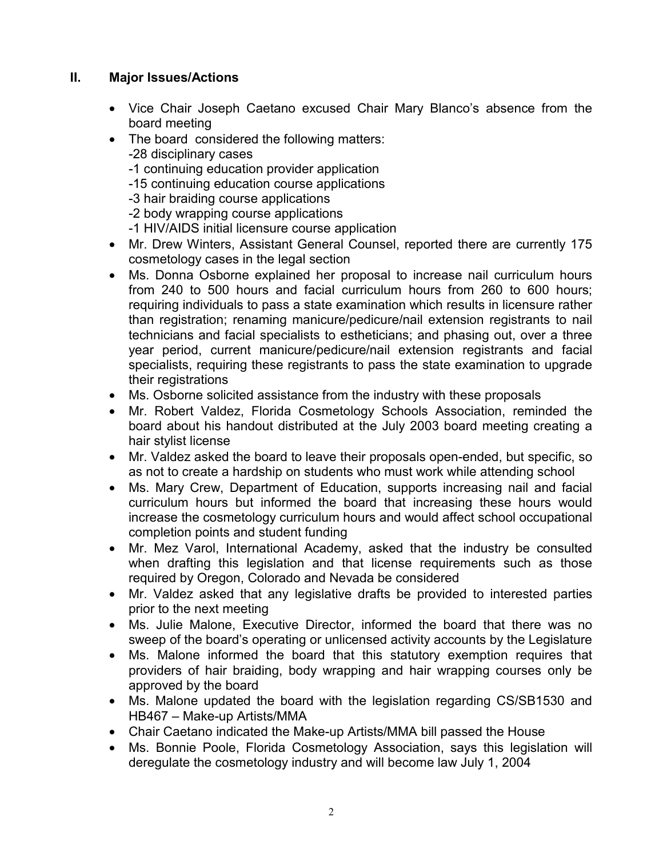#### **II. Major Issues/Actions**

- Vice Chair Joseph Caetano excused Chair Mary Blanco's absence from the board meeting
- The board considered the following matters: -28 disciplinary cases
	- -1 continuing education provider application
	- -15 continuing education course applications
	- -3 hair braiding course applications
	- -2 body wrapping course applications
	- -1 HIV/AIDS initial licensure course application
- Mr. Drew Winters, Assistant General Counsel, reported there are currently 175 cosmetology cases in the legal section
- Ms. Donna Osborne explained her proposal to increase nail curriculum hours from 240 to 500 hours and facial curriculum hours from 260 to 600 hours; requiring individuals to pass a state examination which results in licensure rather than registration; renaming manicure/pedicure/nail extension registrants to nail technicians and facial specialists to estheticians; and phasing out, over a three year period, current manicure/pedicure/nail extension registrants and facial specialists, requiring these registrants to pass the state examination to upgrade their registrations
- Ms. Osborne solicited assistance from the industry with these proposals
- Mr. Robert Valdez, Florida Cosmetology Schools Association, reminded the board about his handout distributed at the July 2003 board meeting creating a hair stylist license
- Mr. Valdez asked the board to leave their proposals open-ended, but specific, so as not to create a hardship on students who must work while attending school
- Ms. Mary Crew, Department of Education, supports increasing nail and facial curriculum hours but informed the board that increasing these hours would increase the cosmetology curriculum hours and would affect school occupational completion points and student funding
- Mr. Mez Varol, International Academy, asked that the industry be consulted when drafting this legislation and that license requirements such as those required by Oregon, Colorado and Nevada be considered
- Mr. Valdez asked that any legislative drafts be provided to interested parties prior to the next meeting
- Ms. Julie Malone, Executive Director, informed the board that there was no sweep of the board's operating or unlicensed activity accounts by the Legislature
- Ms. Malone informed the board that this statutory exemption requires that providers of hair braiding, body wrapping and hair wrapping courses only be approved by the board
- Ms. Malone updated the board with the legislation regarding CS/SB1530 and HB467 – Make-up Artists/MMA
- Chair Caetano indicated the Make-up Artists/MMA bill passed the House
- Ms. Bonnie Poole, Florida Cosmetology Association, says this legislation will deregulate the cosmetology industry and will become law July 1, 2004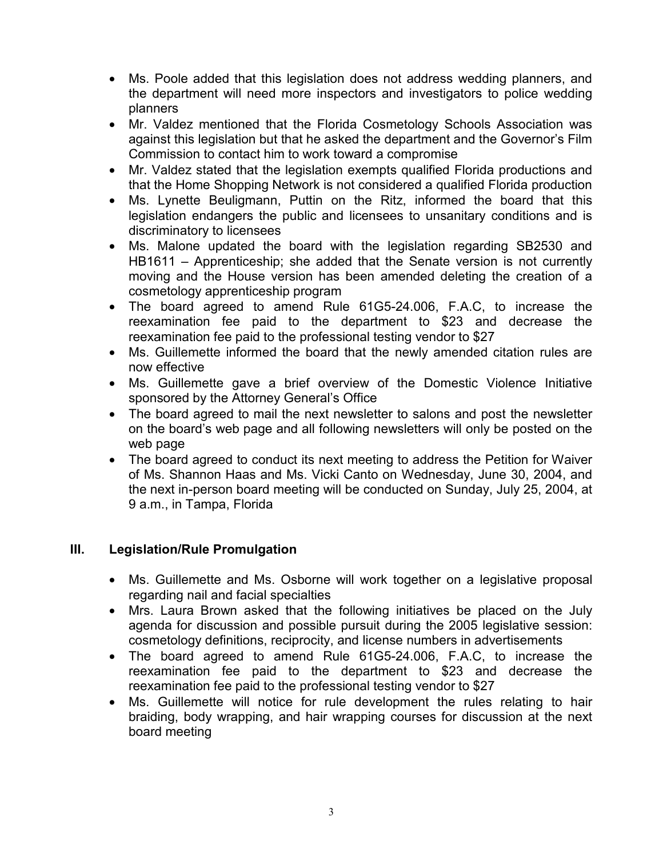- Ms. Poole added that this legislation does not address wedding planners, and the department will need more inspectors and investigators to police wedding planners
- Mr. Valdez mentioned that the Florida Cosmetology Schools Association was against this legislation but that he asked the department and the Governor's Film Commission to contact him to work toward a compromise
- Mr. Valdez stated that the legislation exempts qualified Florida productions and that the Home Shopping Network is not considered a qualified Florida production
- Ms. Lynette Beuligmann, Puttin on the Ritz, informed the board that this legislation endangers the public and licensees to unsanitary conditions and is discriminatory to licensees
- Ms. Malone updated the board with the legislation regarding SB2530 and HB1611 – Apprenticeship; she added that the Senate version is not currently moving and the House version has been amended deleting the creation of a cosmetology apprenticeship program
- The board agreed to amend Rule 61G5-24.006, F.A.C, to increase the reexamination fee paid to the department to \$23 and decrease the reexamination fee paid to the professional testing vendor to \$27
- Ms. Guillemette informed the board that the newly amended citation rules are now effective
- Ms. Guillemette gave a brief overview of the Domestic Violence Initiative sponsored by the Attorney General's Office
- The board agreed to mail the next newsletter to salons and post the newsletter on the board's web page and all following newsletters will only be posted on the web page
- The board agreed to conduct its next meeting to address the Petition for Waiver of Ms. Shannon Haas and Ms. Vicki Canto on Wednesday, June 30, 2004, and the next in-person board meeting will be conducted on Sunday, July 25, 2004, at 9 a.m., in Tampa, Florida

## **III. Legislation/Rule Promulgation**

- Ms. Guillemette and Ms. Osborne will work together on a legislative proposal regarding nail and facial specialties
- Mrs. Laura Brown asked that the following initiatives be placed on the July agenda for discussion and possible pursuit during the 2005 legislative session: cosmetology definitions, reciprocity, and license numbers in advertisements
- The board agreed to amend Rule 61G5-24.006, F.A.C, to increase the reexamination fee paid to the department to \$23 and decrease the reexamination fee paid to the professional testing vendor to \$27
- Ms. Guillemette will notice for rule development the rules relating to hair braiding, body wrapping, and hair wrapping courses for discussion at the next board meeting